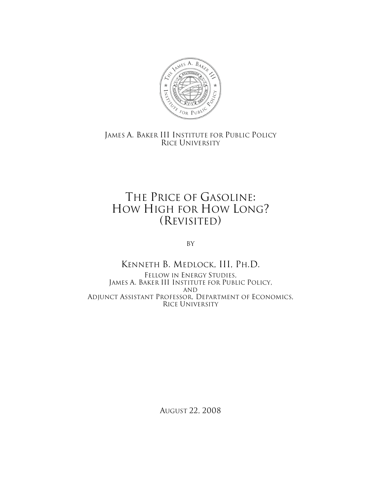

JAMES A. BAKER III INSTITUTE FOR PUBLIC POLICY RICE UNIVERSITY

## THE PRICE OF GASOLINE: HOW HIGH FOR HOW LONG? (REVISITED)

By

KENNETH B. MEDLOCK, III, PH.D. FELLOW IN ENERGY STUDIES, JAMES A. BAKER III INSTITUTE FOR PUBLIC POLICY, AND ADJUNCT ASSISTANT PROFESSOR, DEPARTMENT OF ECONOMICS, RICE UNIVERSITY

AUGUST 22, 2008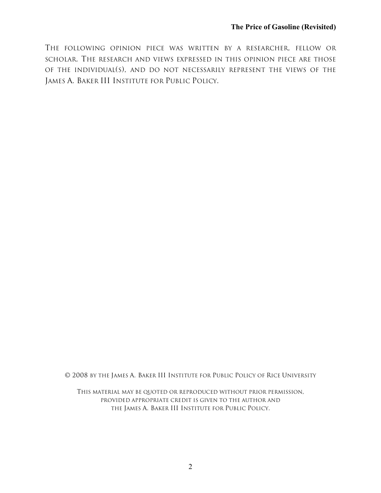THE FOLLOWING OPINION PIECE WAS WRITTEN BY A RESEARCHER, FELLOW OR SCHOLAR. THE RESEARCH AND VIEWS EXPRESSED IN THIS OPINION PIECE ARE THOSE OF THE INDIVIDUAL(S), AND DO NOT NECESSARILY REPRESENT THE VIEWS OF THE JAMES A. BAKER III INSTITUTE FOR PUBLIC POLICY.

© 2008 BY THE JAMES A. BAKER III INSTITUTE FOR PUBLIC POLICY OF RICE UNIVERSITY

THIS MATERIAL MAY BE QUOTED OR REPRODUCED WITHOUT PRIOR PERMISSION, PROVIDED APPROPRIATE CREDIT IS GIVEN TO THE AUTHOR AND THE JAMES A. BAKER III INSTITUTE FOR PUBLIC POLICY.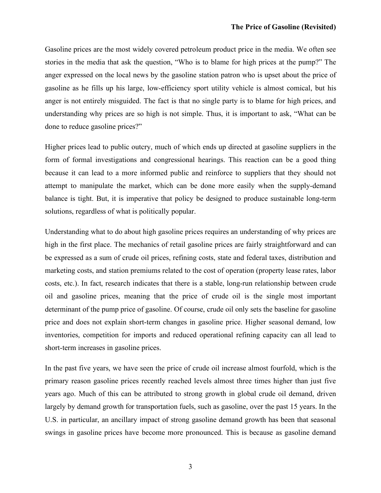Gasoline prices are the most widely covered petroleum product price in the media. We often see stories in the media that ask the question, "Who is to blame for high prices at the pump?" The anger expressed on the local news by the gasoline station patron who is upset about the price of gasoline as he fills up his large, low-efficiency sport utility vehicle is almost comical, but his anger is not entirely misguided. The fact is that no single party is to blame for high prices, and understanding why prices are so high is not simple. Thus, it is important to ask, "What can be done to reduce gasoline prices?"

Higher prices lead to public outcry, much of which ends up directed at gasoline suppliers in the form of formal investigations and congressional hearings. This reaction can be a good thing because it can lead to a more informed public and reinforce to suppliers that they should not attempt to manipulate the market, which can be done more easily when the supply-demand balance is tight. But, it is imperative that policy be designed to produce sustainable long-term solutions, regardless of what is politically popular.

Understanding what to do about high gasoline prices requires an understanding of why prices are high in the first place. The mechanics of retail gasoline prices are fairly straightforward and can be expressed as a sum of crude oil prices, refining costs, state and federal taxes, distribution and marketing costs, and station premiums related to the cost of operation (property lease rates, labor costs, etc.). In fact, research indicates that there is a stable, long-run relationship between crude oil and gasoline prices, meaning that the price of crude oil is the single most important determinant of the pump price of gasoline. Of course, crude oil only sets the baseline for gasoline price and does not explain short-term changes in gasoline price. Higher seasonal demand, low inventories, competition for imports and reduced operational refining capacity can all lead to short-term increases in gasoline prices.

In the past five years, we have seen the price of crude oil increase almost fourfold, which is the primary reason gasoline prices recently reached levels almost three times higher than just five years ago. Much of this can be attributed to strong growth in global crude oil demand, driven largely by demand growth for transportation fuels, such as gasoline, over the past 15 years. In the U.S. in particular, an ancillary impact of strong gasoline demand growth has been that seasonal swings in gasoline prices have become more pronounced. This is because as gasoline demand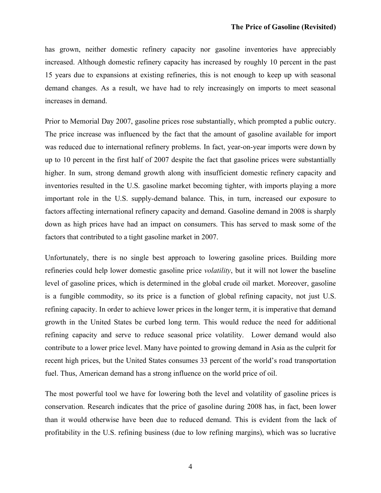has grown, neither domestic refinery capacity nor gasoline inventories have appreciably increased. Although domestic refinery capacity has increased by roughly 10 percent in the past 15 years due to expansions at existing refineries, this is not enough to keep up with seasonal demand changes. As a result, we have had to rely increasingly on imports to meet seasonal increases in demand.

Prior to Memorial Day 2007, gasoline prices rose substantially, which prompted a public outcry. The price increase was influenced by the fact that the amount of gasoline available for import was reduced due to international refinery problems. In fact, year-on-year imports were down by up to 10 percent in the first half of 2007 despite the fact that gasoline prices were substantially higher. In sum, strong demand growth along with insufficient domestic refinery capacity and inventories resulted in the U.S. gasoline market becoming tighter, with imports playing a more important role in the U.S. supply-demand balance. This, in turn, increased our exposure to factors affecting international refinery capacity and demand. Gasoline demand in 2008 is sharply down as high prices have had an impact on consumers. This has served to mask some of the factors that contributed to a tight gasoline market in 2007.

Unfortunately, there is no single best approach to lowering gasoline prices. Building more refineries could help lower domestic gasoline price *volatility*, but it will not lower the baseline level of gasoline prices, which is determined in the global crude oil market. Moreover, gasoline is a fungible commodity, so its price is a function of global refining capacity, not just U.S. refining capacity. In order to achieve lower prices in the longer term, it is imperative that demand growth in the United States be curbed long term. This would reduce the need for additional refining capacity and serve to reduce seasonal price volatility. Lower demand would also contribute to a lower price level. Many have pointed to growing demand in Asia as the culprit for recent high prices, but the United States consumes 33 percent of the world's road transportation fuel. Thus, American demand has a strong influence on the world price of oil.

The most powerful tool we have for lowering both the level and volatility of gasoline prices is conservation. Research indicates that the price of gasoline during 2008 has, in fact, been lower than it would otherwise have been due to reduced demand. This is evident from the lack of profitability in the U.S. refining business (due to low refining margins), which was so lucrative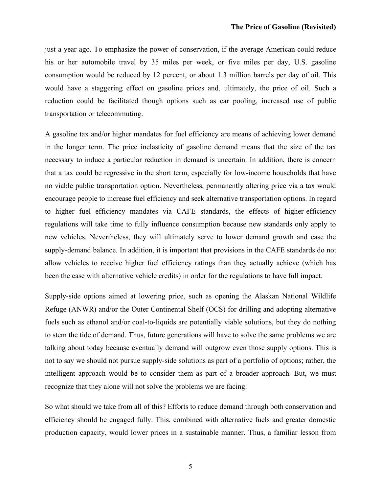just a year ago. To emphasize the power of conservation, if the average American could reduce his or her automobile travel by 35 miles per week, or five miles per day, U.S. gasoline consumption would be reduced by 12 percent, or about 1.3 million barrels per day of oil. This would have a staggering effect on gasoline prices and, ultimately, the price of oil. Such a reduction could be facilitated though options such as car pooling, increased use of public transportation or telecommuting.

A gasoline tax and/or higher mandates for fuel efficiency are means of achieving lower demand in the longer term. The price inelasticity of gasoline demand means that the size of the tax necessary to induce a particular reduction in demand is uncertain. In addition, there is concern that a tax could be regressive in the short term, especially for low-income households that have no viable public transportation option. Nevertheless, permanently altering price via a tax would encourage people to increase fuel efficiency and seek alternative transportation options. In regard to higher fuel efficiency mandates via CAFE standards, the effects of higher-efficiency regulations will take time to fully influence consumption because new standards only apply to new vehicles. Nevertheless, they will ultimately serve to lower demand growth and ease the supply-demand balance. In addition, it is important that provisions in the CAFE standards do not allow vehicles to receive higher fuel efficiency ratings than they actually achieve (which has been the case with alternative vehicle credits) in order for the regulations to have full impact.

Supply-side options aimed at lowering price, such as opening the Alaskan National Wildlife Refuge (ANWR) and/or the Outer Continental Shelf (OCS) for drilling and adopting alternative fuels such as ethanol and/or coal-to-liquids are potentially viable solutions, but they do nothing to stem the tide of demand. Thus, future generations will have to solve the same problems we are talking about today because eventually demand will outgrow even those supply options. This is not to say we should not pursue supply-side solutions as part of a portfolio of options; rather, the intelligent approach would be to consider them as part of a broader approach. But, we must recognize that they alone will not solve the problems we are facing.

So what should we take from all of this? Efforts to reduce demand through both conservation and efficiency should be engaged fully. This, combined with alternative fuels and greater domestic production capacity, would lower prices in a sustainable manner. Thus, a familiar lesson from